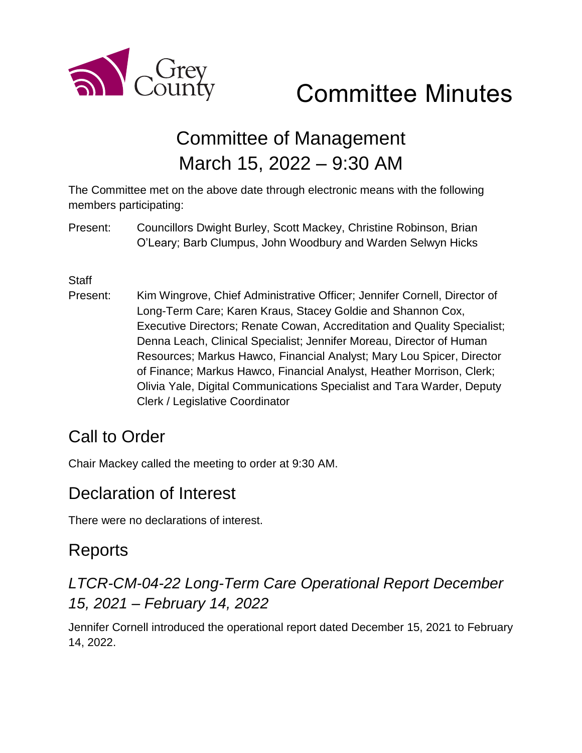

# Committee Minutes

## Committee of Management March 15, 2022 – 9:30 AM

The Committee met on the above date through electronic means with the following members participating:

Present: Councillors Dwight Burley, Scott Mackey, Christine Robinson, Brian O'Leary; Barb Clumpus, John Woodbury and Warden Selwyn Hicks

#### **Staff**

Present: Kim Wingrove, Chief Administrative Officer; Jennifer Cornell, Director of Long-Term Care; Karen Kraus, Stacey Goldie and Shannon Cox, Executive Directors; Renate Cowan, Accreditation and Quality Specialist; Denna Leach, Clinical Specialist; Jennifer Moreau, Director of Human Resources; Markus Hawco, Financial Analyst; Mary Lou Spicer, Director of Finance; Markus Hawco, Financial Analyst, Heather Morrison, Clerk; Olivia Yale, Digital Communications Specialist and Tara Warder, Deputy Clerk / Legislative Coordinator

### Call to Order

Chair Mackey called the meeting to order at 9:30 AM.

### Declaration of Interest

There were no declarations of interest.

### Reports

### *LTCR-CM-04-22 Long-Term Care Operational Report December 15, 2021 – February 14, 2022*

Jennifer Cornell introduced the operational report dated December 15, 2021 to February 14, 2022.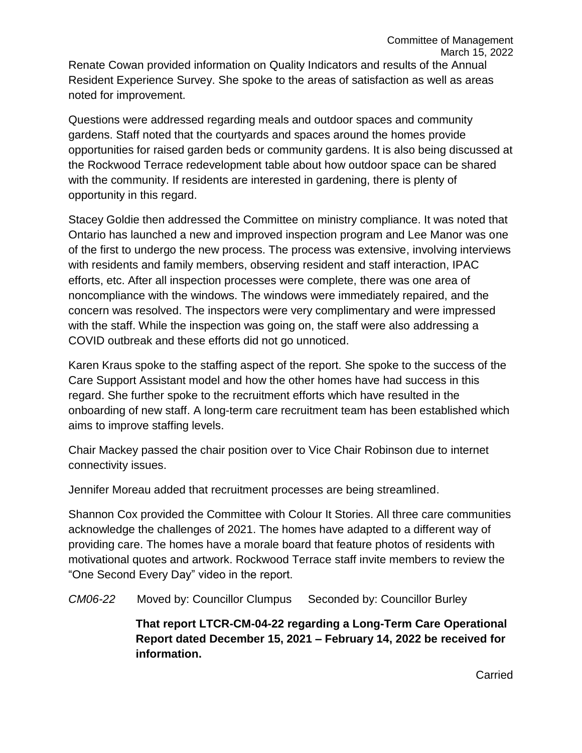Renate Cowan provided information on Quality Indicators and results of the Annual Resident Experience Survey. She spoke to the areas of satisfaction as well as areas noted for improvement.

Questions were addressed regarding meals and outdoor spaces and community gardens. Staff noted that the courtyards and spaces around the homes provide opportunities for raised garden beds or community gardens. It is also being discussed at the Rockwood Terrace redevelopment table about how outdoor space can be shared with the community. If residents are interested in gardening, there is plenty of opportunity in this regard.

Stacey Goldie then addressed the Committee on ministry compliance. It was noted that Ontario has launched a new and improved inspection program and Lee Manor was one of the first to undergo the new process. The process was extensive, involving interviews with residents and family members, observing resident and staff interaction, IPAC efforts, etc. After all inspection processes were complete, there was one area of noncompliance with the windows. The windows were immediately repaired, and the concern was resolved. The inspectors were very complimentary and were impressed with the staff. While the inspection was going on, the staff were also addressing a COVID outbreak and these efforts did not go unnoticed.

Karen Kraus spoke to the staffing aspect of the report. She spoke to the success of the Care Support Assistant model and how the other homes have had success in this regard. She further spoke to the recruitment efforts which have resulted in the onboarding of new staff. A long-term care recruitment team has been established which aims to improve staffing levels.

Chair Mackey passed the chair position over to Vice Chair Robinson due to internet connectivity issues.

Jennifer Moreau added that recruitment processes are being streamlined.

Shannon Cox provided the Committee with Colour It Stories. All three care communities acknowledge the challenges of 2021. The homes have adapted to a different way of providing care. The homes have a morale board that feature photos of residents with motivational quotes and artwork. Rockwood Terrace staff invite members to review the "One Second Every Day" video in the report.

*CM06-22* Moved by: Councillor Clumpus Seconded by: Councillor Burley

**That report LTCR-CM-04-22 regarding a Long-Term Care Operational Report dated December 15, 2021 – February 14, 2022 be received for information.**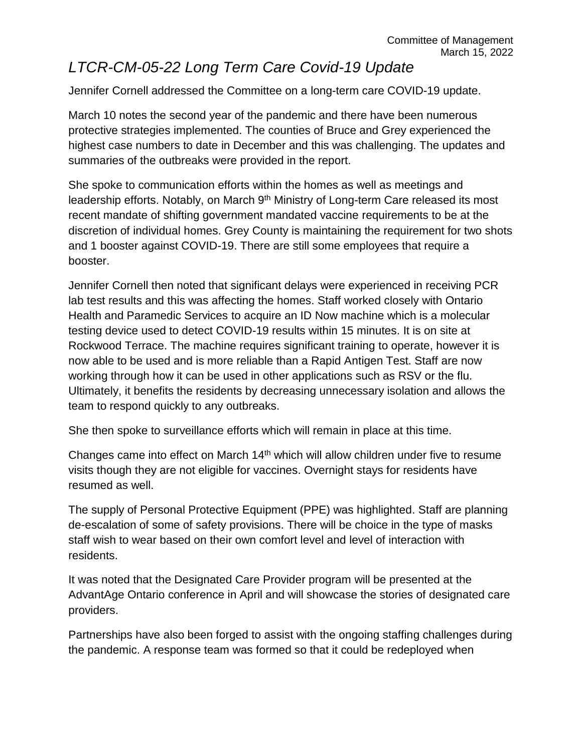### *LTCR-CM-05-22 Long Term Care Covid-19 Update*

Jennifer Cornell addressed the Committee on a long-term care COVID-19 update.

March 10 notes the second year of the pandemic and there have been numerous protective strategies implemented. The counties of Bruce and Grey experienced the highest case numbers to date in December and this was challenging. The updates and summaries of the outbreaks were provided in the report.

She spoke to communication efforts within the homes as well as meetings and leadership efforts. Notably, on March 9<sup>th</sup> Ministry of Long-term Care released its most recent mandate of shifting government mandated vaccine requirements to be at the discretion of individual homes. Grey County is maintaining the requirement for two shots and 1 booster against COVID-19. There are still some employees that require a booster.

Jennifer Cornell then noted that significant delays were experienced in receiving PCR lab test results and this was affecting the homes. Staff worked closely with Ontario Health and Paramedic Services to acquire an ID Now machine which is a molecular testing device used to detect COVID-19 results within 15 minutes. It is on site at Rockwood Terrace. The machine requires significant training to operate, however it is now able to be used and is more reliable than a Rapid Antigen Test. Staff are now working through how it can be used in other applications such as RSV or the flu. Ultimately, it benefits the residents by decreasing unnecessary isolation and allows the team to respond quickly to any outbreaks.

She then spoke to surveillance efforts which will remain in place at this time.

Changes came into effect on March 14<sup>th</sup> which will allow children under five to resume visits though they are not eligible for vaccines. Overnight stays for residents have resumed as well.

The supply of Personal Protective Equipment (PPE) was highlighted. Staff are planning de-escalation of some of safety provisions. There will be choice in the type of masks staff wish to wear based on their own comfort level and level of interaction with residents.

It was noted that the Designated Care Provider program will be presented at the AdvantAge Ontario conference in April and will showcase the stories of designated care providers.

Partnerships have also been forged to assist with the ongoing staffing challenges during the pandemic. A response team was formed so that it could be redeployed when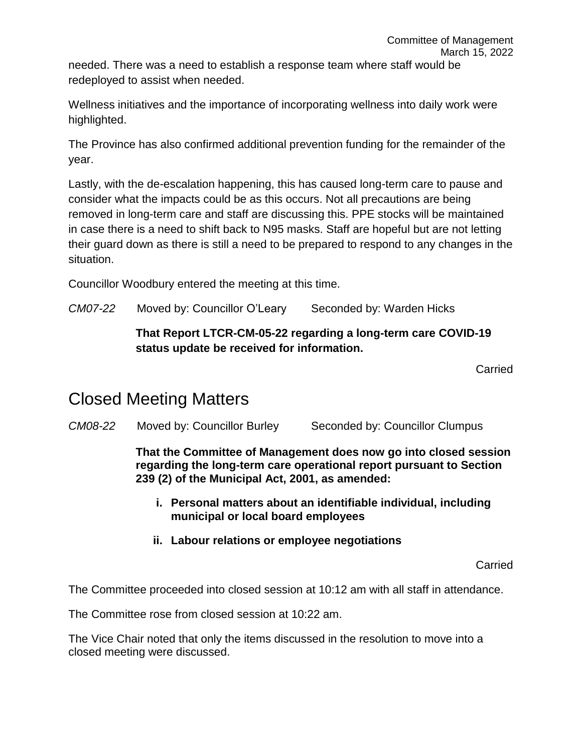needed. There was a need to establish a response team where staff would be redeployed to assist when needed.

Wellness initiatives and the importance of incorporating wellness into daily work were highlighted.

The Province has also confirmed additional prevention funding for the remainder of the year.

Lastly, with the de-escalation happening, this has caused long-term care to pause and consider what the impacts could be as this occurs. Not all precautions are being removed in long-term care and staff are discussing this. PPE stocks will be maintained in case there is a need to shift back to N95 masks. Staff are hopeful but are not letting their guard down as there is still a need to be prepared to respond to any changes in the situation.

Councillor Woodbury entered the meeting at this time.

*CM07-22* Moved by: Councillor O'Leary Seconded by: Warden Hicks

#### **That Report LTCR-CM-05-22 regarding a long-term care COVID-19 status update be received for information.**

Carried

### Closed Meeting Matters

*CM08-22* Moved by: Councillor Burley Seconded by: Councillor Clumpus

**That the Committee of Management does now go into closed session regarding the long-term care operational report pursuant to Section 239 (2) of the Municipal Act, 2001, as amended:**

- **i. Personal matters about an identifiable individual, including municipal or local board employees**
- **ii. Labour relations or employee negotiations**

**Carried** 

The Committee proceeded into closed session at 10:12 am with all staff in attendance.

The Committee rose from closed session at 10:22 am.

The Vice Chair noted that only the items discussed in the resolution to move into a closed meeting were discussed.